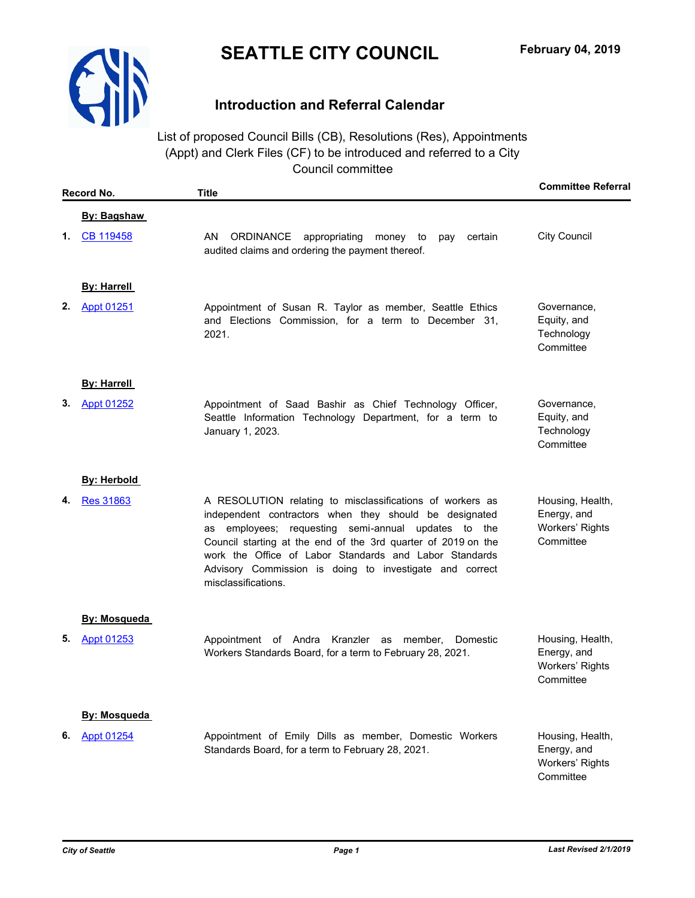

## **Introduction and Referral Calendar**

List of proposed Council Bills (CB), Resolutions (Res), Appointments (Appt) and Clerk Files (CF) to be introduced and referred to a City Council committee

| Record No. |                     | <b>Title</b>                                                                                                                                                                                                                                                                                                                                                                            | <b>Committee Referral</b>                                       |
|------------|---------------------|-----------------------------------------------------------------------------------------------------------------------------------------------------------------------------------------------------------------------------------------------------------------------------------------------------------------------------------------------------------------------------------------|-----------------------------------------------------------------|
|            | <b>By: Bagshaw</b>  |                                                                                                                                                                                                                                                                                                                                                                                         |                                                                 |
| 1.         | CB 119458           | <b>ORDINANCE</b><br>appropriating<br>AN.<br>money to<br>certain<br>pay<br>audited claims and ordering the payment thereof.                                                                                                                                                                                                                                                              | <b>City Council</b>                                             |
|            | <b>By: Harrell</b>  |                                                                                                                                                                                                                                                                                                                                                                                         |                                                                 |
| 2.         | <b>Appt 01251</b>   | Appointment of Susan R. Taylor as member, Seattle Ethics<br>and Elections Commission, for a term to December 31,<br>2021.                                                                                                                                                                                                                                                               | Governance,<br>Equity, and<br>Technology<br>Committee           |
|            | <b>By: Harrell</b>  |                                                                                                                                                                                                                                                                                                                                                                                         |                                                                 |
| 3.         | <b>Appt 01252</b>   | Appointment of Saad Bashir as Chief Technology Officer,<br>Seattle Information Technology Department, for a term to<br>January 1, 2023.                                                                                                                                                                                                                                                 | Governance,<br>Equity, and<br>Technology<br>Committee           |
|            | <b>By: Herbold</b>  |                                                                                                                                                                                                                                                                                                                                                                                         |                                                                 |
| 4.         | <b>Res 31863</b>    | A RESOLUTION relating to misclassifications of workers as<br>independent contractors when they should be designated<br>as employees; requesting semi-annual updates to the<br>Council starting at the end of the 3rd quarter of 2019 on the<br>work the Office of Labor Standards and Labor Standards<br>Advisory Commission is doing to investigate and correct<br>misclassifications. | Housing, Health,<br>Energy, and<br>Workers' Rights<br>Committee |
|            | <b>By: Mosqueda</b> |                                                                                                                                                                                                                                                                                                                                                                                         |                                                                 |
| 5.         | Appt 01253          | Appointment of Andra Kranzler as member, Domestic<br>Workers Standards Board, for a term to February 28, 2021.                                                                                                                                                                                                                                                                          | Housing, Health,<br>Energy, and<br>Workers' Rights<br>Committee |
|            | <b>By: Mosqueda</b> |                                                                                                                                                                                                                                                                                                                                                                                         |                                                                 |
| 6.         | Appt 01254          | Appointment of Emily Dills as member, Domestic Workers<br>Standards Board, for a term to February 28, 2021.                                                                                                                                                                                                                                                                             | Housing, Health,<br>Energy, and<br>Workers' Rights<br>Committee |